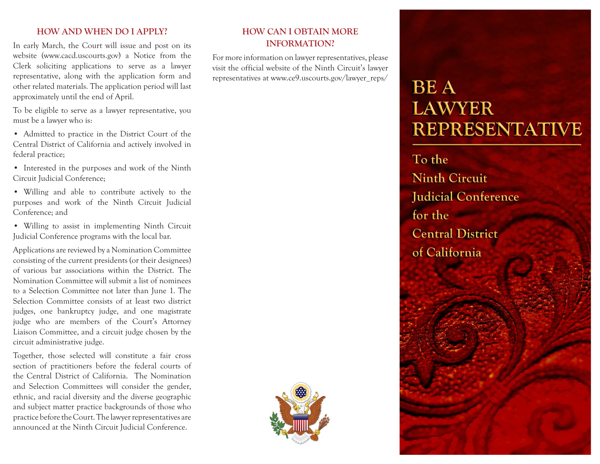#### **HOW AND WHEN DO I APPLY?**

In early March, the Court will issue and post on its website (www.cacd.uscourts.gov) a Notice from the Clerk soliciting applications to serve as a lawyer representative, along with the application form and other related materials. The application period will last approximately until the end of April.

To be eligible to serve as a lawyer representative, you must be a lawyer who is:

- Admitted to practice in the District Court of the Central District of California and actively involved in federal practice;
- Interested in the purposes and work of the Ninth Circuit Judicial Conference;
- • Willing and able to contribute actively to the purposes and work of the Ninth Circuit Judicial Conference; and
- • Willing to assist in implementing Ninth Circuit Judicial Conference programs with the local bar.

Applications are reviewed by a Nomination Committee consisting of the current presidents (or their designees) of various bar associations within the District. The Nomination Committee will submit a list of nominees to a Selection Committee not later than June 1. The Selection Committee consists of at least two district judges, one bankruptcy judge, and one magistrate judge who are members of the Court's Attorney Liaison Committee, and a circuit judge chosen by the circuit administrative judge.

Together, those selected will constitute a fair cross section of practitioners before the federal courts of the Central District of California. The Nomination and Selection Committees will consider the gender, ethnic, and racial diversity and the diverse geographic and subject matter practice backgrounds of those who practice before the Court. The lawyer representatives are announced at the Ninth Circuit Judicial Conference.

## **HOW CAN I OBTAIN MORE INFORMATION?**

For more information on lawyer representatives, please visit the official website of the Ninth Circuit's lawyer representatives at www.ce9.uscourts.gov/lawyer\_reps/



# **BEA LAWYER REPRESENTATIVE**

To the **Ninth Circuit Judicial Conference** for the **Central District** of California